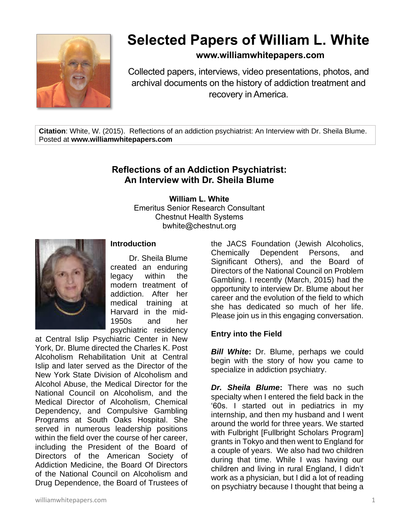

# **Selected Papers of William L. White**

# **www.williamwhitepapers.com**

Collected papers, interviews, video presentations, photos, and archival documents on the history of addiction treatment and recovery in America.

**Citation**: White, W. (2015). Reflections of an addiction psychiatrist: An Interview with Dr. Sheila Blume. Posted at **www.williamwhitepapers.com**

# **Reflections of an Addiction Psychiatrist: An Interview with Dr. Sheila Blume**

**William L. White** Emeritus Senior Research Consultant Chestnut Health Systems bwhite@chestnut.org



## **Introduction**

Dr. Sheila Blume created an enduring legacy within the modern treatment of addiction. After her medical training at Harvard in the mid-1950s and her psychiatric residency

at Central Islip Psychiatric Center in New York, Dr. Blume directed the Charles K. Post Alcoholism Rehabilitation Unit at Central Islip and later served as the Director of the New York State Division of Alcoholism and Alcohol Abuse, the Medical Director for the National Council on Alcoholism, and the Medical Director of Alcoholism, Chemical Dependency, and Compulsive Gambling Programs at South Oaks Hospital. She served in numerous leadership positions within the field over the course of her career, including the President of the Board of Directors of the American Society of Addiction Medicine, the Board Of Directors of the National Council on Alcoholism and Drug Dependence, the Board of Trustees of

the JACS Foundation (Jewish Alcoholics, Chemically Dependent Persons, and Significant Others), and the Board of Directors of the National Council on Problem Gambling. I recently (March, 2015) had the opportunity to interview Dr. Blume about her career and the evolution of the field to which she has dedicated so much of her life. Please join us in this engaging conversation.

#### **Entry into the Field**

**Bill White:** Dr. Blume, perhaps we could begin with the story of how you came to specialize in addiction psychiatry.

*Dr. Sheila Blume***:** There was no such specialty when I entered the field back in the '60s. I started out in pediatrics in my internship, and then my husband and I went around the world for three years. We started with Fulbright [Fullbright Scholars Program] grants in Tokyo and then went to England for a couple of years. We also had two children during that time. While I was having our children and living in rural England, I didn't work as a physician, but I did a lot of reading on psychiatry because I thought that being a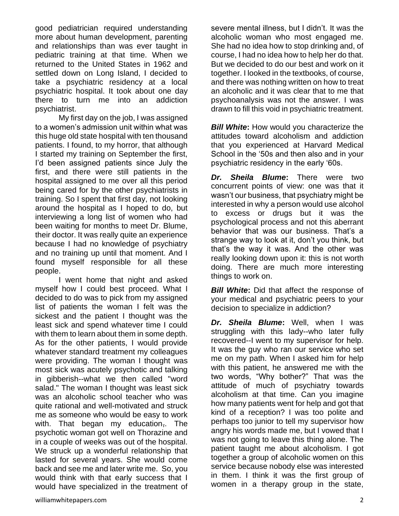good pediatrician required understanding more about human development, parenting and relationships than was ever taught in pediatric training at that time. When we returned to the United States in 1962 and settled down on Long Island, I decided to take a psychiatric residency at a local psychiatric hospital. It took about one day there to turn me into an addiction psychiatrist.

My first day on the job, I was assigned to a women's admission unit within what was this huge old state hospital with ten thousand patients. I found, to my horror, that although I started my training on September the first, I'd been assigned patients since July the first, and there were still patients in the hospital assigned to me over all this period being cared for by the other psychiatrists in training. So I spent that first day, not looking around the hospital as I hoped to do, but interviewing a long list of women who had been waiting for months to meet Dr. Blume, their doctor. It was really quite an experience because I had no knowledge of psychiatry and no training up until that moment. And I found myself responsible for all these people.

I went home that night and asked myself how I could best proceed. What I decided to do was to pick from my assigned list of patients the woman I felt was the sickest and the patient I thought was the least sick and spend whatever time I could with them to learn about them in some depth. As for the other patients, I would provide whatever standard treatment my colleagues were providing. The woman I thought was most sick was acutely psychotic and talking in gibberish--what we then called "word salad." The woman I thought was least sick was an alcoholic school teacher who was quite rational and well-motivated and struck me as someone who would be easy to work with. That began my education $\overline{a}$ . The psychotic woman got well on Thorazine and in a couple of weeks was out of the hospital. We struck up a wonderful relationship that lasted for several years. She would come back and see me and later write me. So, you would think with that early success that I would have specialized in the treatment of severe mental illness, but I didn't. It was the alcoholic woman who most engaged me. She had no idea how to stop drinking and, of course, I had no idea how to help her do that. But we decided to do our best and work on it together. I looked in the textbooks, of course, and there was nothing written on how to treat an alcoholic and it was clear that to me that psychoanalysis was not the answer. I was drawn to fill this void in psychiatric treatment.

**Bill White:** How would you characterize the attitudes toward alcoholism and addiction that you experienced at Harvard Medical School in the '50s and then also and in your psychiatric residency in the early '60s.

*Dr. Sheila Blume***:** There were two concurrent points of view: one was that it wasn't our business, that psychiatry might be interested in why a person would use alcohol to excess or drugs but it was the psychological process and not this aberrant behavior that was our business. That's a strange way to look at it, don't you think, but that's the way it was. And the other was really looking down upon it: this is not worth doing. There are much more interesting things to work on.

*Bill White***:** Did that affect the response of your medical and psychiatric peers to your decision to specialize in addiction?

*Dr. Sheila Blume***:** Well, when I was struggling with this lady--who later fully recovered--I went to my supervisor for help. It was the guy who ran our service who set me on my path. When I asked him for help with this patient, he answered me with the two words, "Why bother?" That was the attitude of much of psychiatry towards alcoholism at that time. Can you imagine how many patients went for help and got that kind of a reception? I was too polite and perhaps too junior to tell my supervisor how angry his words made me, but I vowed that I was not going to leave this thing alone. The patient taught me about alcoholism. I got together a group of alcoholic women on this service because nobody else was interested in them. I think it was the first group of women in a therapy group in the state,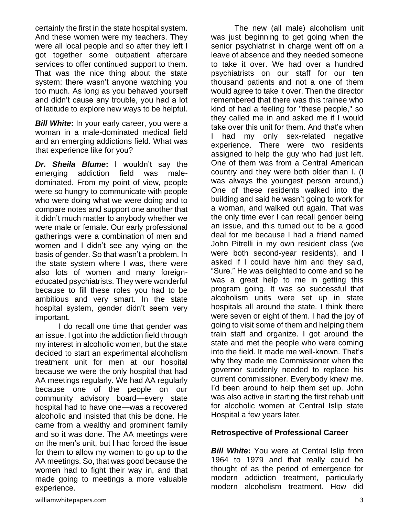certainly the first in the state hospital system. And these women were my teachers. They were all local people and so after they left I got together some outpatient aftercare services to offer continued support to them. That was the nice thing about the state system: there wasn't anyone watching you too much. As long as you behaved yourself and didn't cause any trouble, you had a lot of latitude to explore new ways to be helpful.

*Bill White***:** In your early career, you were a woman in a male-dominated medical field and an emerging addictions field. What was that experience like for you?

*Dr. Sheila Blume***:** I wouldn't say the emerging addiction field was maledominated. From my point of view, people were so hungry to communicate with people who were doing what we were doing and to compare notes and support one another that it didn't much matter to anybody whether we were male or female. Our early professional gatherings were a combination of men and women and I didn't see any vying on the basis of gender. So that wasn't a problem. In the state system where I was, there were also lots of women and many foreigneducated psychiatrists. They were wonderful because to fill these roles you had to be ambitious and very smart. In the state hospital system, gender didn't seem very important.

I do recall one time that gender was an issue. I got into the addiction field through my interest in alcoholic women, but the state decided to start an experimental alcoholism treatment unit for men at our hospital because we were the only hospital that had AA meetings regularly. We had AA regularly because one of the people on our community advisory board—every state hospital had to have one—was a recovered alcoholic and insisted that this be done. He came from a wealthy and prominent family and so it was done. The AA meetings were on the men's unit, but I had forced the issue for them to allow my women to go up to the AA meetings. So, that was good because the women had to fight their way in, and that made going to meetings a more valuable experience.

The new (all male) alcoholism unit was just beginning to get going when the senior psychiatrist in charge went off on a leave of absence and they needed someone to take it over. We had over a hundred psychiatrists on our staff for our ten thousand patients and not a one of them would agree to take it over. Then the director remembered that there was this trainee who kind of had a feeling for "these people," so they called me in and asked me if I would take over this unit for them. And that's when I had my only sex-related negative experience. There were two residents assigned to help the guy who had just left. One of them was from a Central American country and they were both older than I. (I was always the youngest person around,) One of these residents walked into the building and said he wasn't going to work for a woman, and walked out again. That was the only time ever I can recall gender being an issue, and this turned out to be a good deal for me because I had a friend named John Pitrelli in my own resident class (we were both second-year residents), and I asked if I could have him and they said, "Sure." He was delighted to come and so he was a great help to me in getting this program going. It was so successful that alcoholism units were set up in state hospitals all around the state. I think there were seven or eight of them. I had the joy of going to visit some of them and helping them train staff and organize. I got around the state and met the people who were coming into the field. It made me well-known. That's why they made me Commissioner when the governor suddenly needed to replace his current commissioner. Everybody knew me. I'd been around to help them set up. John was also active in starting the first rehab unit for alcoholic women at Central Islip state Hospital a few years later.

#### **Retrospective of Professional Career**

*Bill White:* You were at Central Islip from 1964 to 1979 and that really could be thought of as the period of emergence for modern addiction treatment, particularly modern alcoholism treatment. How did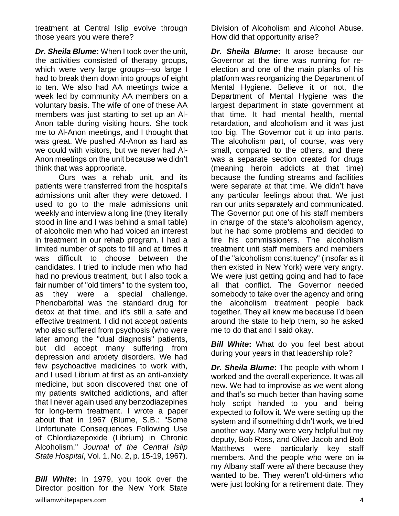treatment at Central Islip evolve through those years you were there?

*Dr. Sheila Blume***:** When I took over the unit, the activities consisted of therapy groups, which were very large groups—so large I had to break them down into groups of eight to ten. We also had AA meetings twice a week led by community AA members on a voluntary basis. The wife of one of these AA members was just starting to set up an Al-Anon table during visiting hours. She took me to Al-Anon meetings, and I thought that was great. We pushed Al-Anon as hard as we could with visitors, but we never had Al-Anon meetings on the unit because we didn't think that was appropriate.

Ours was a rehab unit, and its patients were transferred from the hospital's admissions unit after they were detoxed. I used to go to the male admissions unit weekly and interview a long line (they literally stood in line and I was behind a small table) of alcoholic men who had voiced an interest in treatment in our rehab program. I had a limited number of spots to fill and at times it was difficult to choose between the candidates. I tried to include men who had had no previous treatment, but I also took a fair number of "old timers" to the system too, as they were a special challenge. Phenobarbital was the standard drug for detox at that time, and it's still a safe and effective treatment. I did not accept patients who also suffered from psychosis (who were later among the "dual diagnosis" patients, but did accept many suffering from depression and anxiety disorders. We had few psychoactive medicines to work with, and I used Librium at first as an anti-anxiety medicine, but soon discovered that one of my patients switched addictions, and after that I never again used any benzodiazepines for long-term treatment. I wrote a paper about that in 1967 (Blume, S.B.: "Some Unfortunate Consequences Following Use of Chlordiazepoxide (Librium) in Chronic Alcoholism." *Journal of the Central Islip State Hospital*, Vol. 1, No. 2, p. 15-19, 1967).

*Bill White***:** In 1979, you took over the Director position for the New York State

Division of Alcoholism and Alcohol Abuse. How did that opportunity arise?

*Dr. Sheila Blume***:** It arose because our Governor at the time was running for reelection and one of the main planks of his platform was reorganizing the Department of Mental Hygiene. Believe it or not, the Department of Mental Hygiene was the largest department in state government at that time. It had mental health, mental retardation, and alcoholism and it was just too big. The Governor cut it up into parts. The alcoholism part, of course, was very small, compared to the others, and there was a separate section created for drugs (meaning heroin addicts at that time) because the funding streams and facilities were separate at that time. We didn't have any particular feelings about that. We just ran our units separately and communicated. The Governor put one of his staff members in charge of the state's alcoholism agency, but he had some problems and decided to fire his commissioners. The alcoholism treatment unit staff members and members of the "alcoholism constituency" (insofar as it then existed in New York) were very angry. We were just getting going and had to face all that conflict. The Governor needed somebody to take over the agency and bring the alcoholism treatment people back together. They all knew me because I'd been around the state to help them, so he asked me to do that and I said okay.

**Bill White:** What do you feel best about during your years in that leadership role?

*Dr. Sheila Blume***:** The people with whom I worked and the overall experience. It was all new. We had to improvise as we went along and that's so much better than having some holy script handed to you and being expected to follow it. We were setting up the system and if something didn't work, we tried another way. Many were very helpful but my deputy, Bob Ross, and Olive Jacob and Bob Matthews were particularly key staff members. And the people who were on in my Albany staff were *all* there because they wanted to be. They weren't old-timers who were just looking for a retirement date. They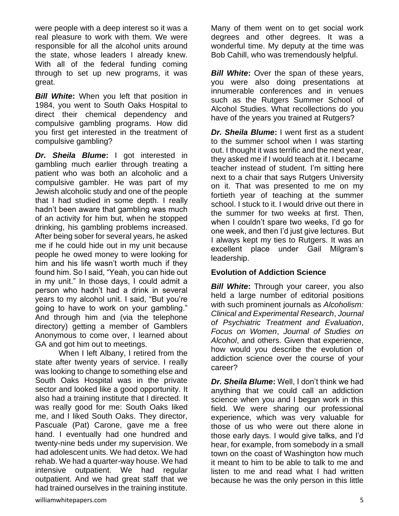were people with a deep interest so it was a real pleasure to work with them. We were responsible for all the alcohol units around the state, whose leaders I already knew. With all of the federal funding coming through to set up new programs, it was great.

*Bill White***:** When you left that position in 1984, you went to South Oaks Hospital to direct their chemical dependency and compulsive gambling programs. How did you first get interested in the treatment of compulsive gambling?

*Dr. Sheila Blume***:** I got interested in gambling much earlier through treating a patient who was both an alcoholic and a compulsive gambler. He was part of my Jewish alcoholic study and one of the people that I had studied in some depth. I really hadn't been aware that gambling was much of an activity for him but, when he stopped drinking, his gambling problems increased. After being sober for several years, he asked me if he could hide out in my unit because people he owed money to were looking for him and his life wasn't worth much if they found him. So I said, "Yeah, you can hide out in my unit." In those days, I could admit a person who hadn't had a drink in several years to my alcohol unit. I said, "But you're going to have to work on your gambling." And through him and (via the telephone directory) getting a member of Gamblers Anonymous to come over, I learned about GA and got him out to meetings.

When I left Albany, I retired from the state after twenty years of service. I really was looking to change to something else and South Oaks Hospital was in the private sector and looked like a good opportunity. It also had a training institute that I directed. It was really good for me: South Oaks liked me, and I liked South Oaks. They director, Pascuale (Pat) Carone, gave me a free hand. I eventually had one hundred and twenty-nine beds under my supervision. We had adolescent units. We had detox. We had rehab. We had a quarter-way house. We had intensive outpatient. We had regular outpatient. And we had great staff that we had trained ourselves in the training institute.

Many of them went on to get social work degrees and other degrees. It was a wonderful time. My deputy at the time was Bob Cahill, who was tremendously helpful.

*Bill White:* Over the span of these years, you were also doing presentations at innumerable conferences and in venues such as the Rutgers Summer School of Alcohol Studies. What recollections do you have of the years you trained at Rutgers?

*Dr. Sheila Blume***:** I went first as a student to the summer school when I was starting out. I thought it was terrific and the next year, they asked me if I would teach at it. I became teacher instead of student. I'm sitting here next to a chair that says Rutgers University on it. That was presented to me on my fortieth year of teaching at the summer school. I stuck to it. I would drive out there in the summer for two weeks at first. Then, when I couldn't spare two weeks, I'd go for one week, and then I'd just give lectures. But I always kept my ties to Rutgers. It was an excellent place under Gail Milgram's leadership.

## **Evolution of Addiction Science**

*Bill White***:** Through your career, you also held a large number of editorial positions with such prominent journals as *Alcoholism: Clinical and Experimental Research*, *Journal of Psychiatric Treatment and Evaluation*, *Focus on Women*, *Journal of Studies on Alcohol*, and others. Given that experience, how would you describe the evolution of addiction science over the course of your career?

*Dr. Sheila Blume***:** Well, I don't think we had anything that we could call an addiction science when you and I began work in this field. We were sharing our professional experience, which was very valuable for those of us who were out there alone in those early days. I would give talks, and I'd hear, for example, from somebody in a small town on the coast of Washington how much it meant to him to be able to talk to me and listen to me and read what I had written because he was the only person in this little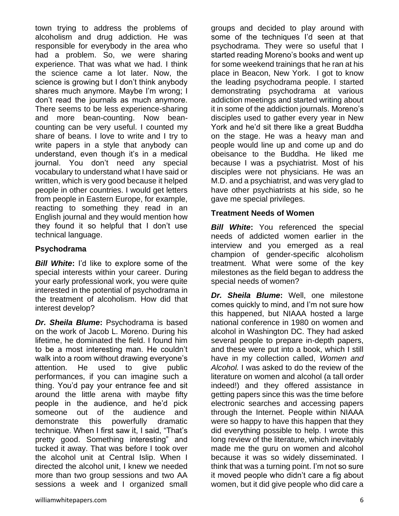town trying to address the problems of alcoholism and drug addiction. He was responsible for everybody in the area who had a problem. So, we were sharing experience. That was what we had. I think the science came a lot later. Now, the science is growing but I don't think anybody shares much anymore. Maybe I'm wrong; I don't read the journals as much anymore. There seems to be less experience-sharing and more bean-counting. Now beancounting can be very useful. I counted my share of beans. I love to write and I try to write papers in a style that anybody can understand, even though it's in a medical journal. You don't need any special vocabulary to understand what I have said or written, which is very good because it helped people in other countries. I would get letters from people in Eastern Europe, for example, reacting to something they read in an English journal and they would mention how they found it so helpful that I don't use technical language.

## **Psychodrama**

*Bill White***:** I'd like to explore some of the special interests within your career. During your early professional work, you were quite interested in the potential of psychodrama in the treatment of alcoholism. How did that interest develop?

*Dr. Sheila Blume***:** Psychodrama is based on the work of Jacob L. Moreno. During his lifetime, he dominated the field. I found him to be a most interesting man. He couldn't walk into a room without drawing everyone's attention. He used to give public performances, if you can imagine such a thing. You'd pay your entrance fee and sit around the little arena with maybe fifty people in the audience, and he'd pick someone out of the audience and demonstrate this powerfully dramatic technique. When I first saw it, I said, "That's pretty good. Something interesting" and tucked it away. That was before I took over the alcohol unit at Central Islip. When I directed the alcohol unit, I knew we needed more than two group sessions and two AA sessions a week and I organized small groups and decided to play around with some of the techniques I'd seen at that psychodrama. They were so useful that I started reading Moreno's books and went up for some weekend trainings that he ran at his place in Beacon, New York. I got to know the leading psychodrama people. I started demonstrating psychodrama at various addiction meetings and started writing about it in some of the addiction journals. Moreno's disciples used to gather every year in New York and he'd sit there like a great Buddha on the stage. He was a heavy man and people would line up and come up and do obeisance to the Buddha. He liked me because I was a psychiatrist. Most of his disciples were not physicians. He was an M.D. and a psychiatrist, and was very glad to have other psychiatrists at his side, so he gave me special privileges.

## **Treatment Needs of Women**

**Bill White:** You referenced the special needs of addicted women earlier in the interview and you emerged as a real champion of gender-specific alcoholism treatment. What were some of the key milestones as the field began to address the special needs of women?

*Dr. Sheila Blume***:** Well, one milestone comes quickly to mind, and I'm not sure how this happened, but NIAAA hosted a large national conference in 1980 on women and alcohol in Washington DC. They had asked several people to prepare in-depth papers, and these were put into a book, which I still have in my collection called, *Women and Alcohol.* I was asked to do the review of the literature on women and alcohol (a tall order indeed!) and they offered assistance in getting papers since this was the time before electronic searches and accessing papers through the Internet. People within NIAAA were so happy to have this happen that they did everything possible to help. I wrote this long review of the literature, which inevitably made me the guru on women and alcohol because it was so widely disseminated. I think that was a turning point. I'm not so sure it moved people who didn't care a fig about women, but it did give people who did care a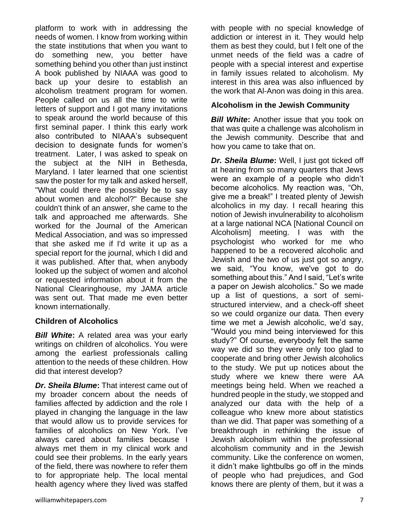platform to work with in addressing the needs of women. I know from working within the state institutions that when you want to do something new, you better have something behind you other than just instinct A book published by NIAAA was good to back up your desire to establish an alcoholism treatment program for women. People called on us all the time to write letters of support and I got many invitations to speak around the world because of this first seminal paper. I think this early work also contributed to NIAAA's subsequent decision to designate funds for women's treatment. Later, I was asked to speak on the subject at the NIH in Bethesda, Maryland. I later learned that one scientist saw the poster for my talk and asked herself, "What could there the possibly be to say about women and alcohol?" Because she couldn't think of an answer, she came to the talk and approached me afterwards. She worked for the Journal of the American Medical Association, and was so impressed that she asked me if I'd write it up as a special report for the journal, which I did and it was published. After that, when anybody looked up the subject of women and alcohol or requested information about it from the National Clearinghouse, my JAMA article was sent out. That made me even better known internationally.

## **Children of Alcoholics**

*Bill White***:** A related area was your early writings on children of alcoholics. You were among the earliest professionals calling attention to the needs of these children. How did that interest develop?

*Dr. Sheila Blume***:** That interest came out of my broader concern about the needs of families affected by addiction and the role I played in changing the language in the law that would allow us to provide services for families of alcoholics on New York. I've always cared about families because I always met them in my clinical work and could see their problems. In the early years of the field, there was nowhere to refer them to for appropriate help. The local mental health agency where they lived was staffed

with people with no special knowledge of addiction or interest in it. They would help them as best they could, but I felt one of the unmet needs of the field was a cadre of people with a special interest and expertise in family issues related to alcoholism. My interest in this area was also influenced by the work that Al-Anon was doing in this area.

### **Alcoholism in the Jewish Community**

**Bill White:** Another issue that you took on that was quite a challenge was alcoholism in the Jewish community. Describe that and how you came to take that on.

*Dr. Sheila Blume***:** Well, I just got ticked off at hearing from so many quarters that Jews were an example of a people who didn't become alcoholics. My reaction was, "Oh, give me a break!" I treated plenty of Jewish alcoholics in my day. I recall hearing this notion of Jewish invulnerability to alcoholism at a large national NCA [National Council on Alcoholism] meeting. I was with the psychologist who worked for me who happened to be a recovered alcoholic and Jewish and the two of us just got so angry, we said, "You know, we've got to do something about this." And I said, "Let's write a paper on Jewish alcoholics." So we made up a list of questions, a sort of semistructured interview, and a check-off sheet so we could organize our data. Then every time we met a Jewish alcoholic, we'd say, "Would you mind being interviewed for this study?" Of course, everybody felt the same way we did so they were only too glad to cooperate and bring other Jewish alcoholics to the study. We put up notices about the study where we knew there were AA meetings being held. When we reached a hundred people in the study, we stopped and analyzed our data with the help of a colleague who knew more about statistics than we did. That paper was something of a breakthrough in rethinking the issue of Jewish alcoholism within the professional alcoholism community and in the Jewish community. Like the conference on women, it didn't make lightbulbs go off in the minds of people who had prejudices, and God knows there are plenty of them, but it was a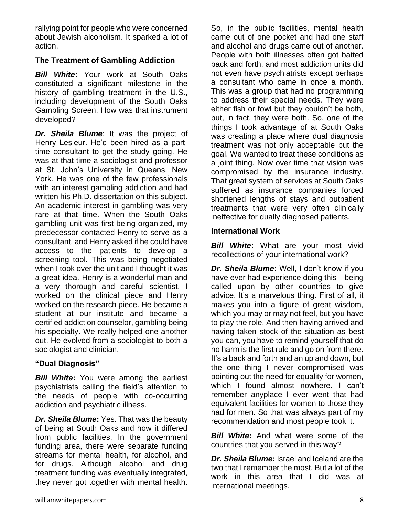rallying point for people who were concerned about Jewish alcoholism. It sparked a lot of action.

## **The Treatment of Gambling Addiction**

*Bill White***:** Your work at South Oaks constituted a significant milestone in the history of gambling treatment in the U.S., including development of the South Oaks Gambling Screen. How was that instrument developed?

*Dr. Sheila Blume*: It was the project of Henry Lesieur. He'd been hired as a parttime consultant to get the study going. He was at that time a sociologist and professor at St. John's University in Queens, New York. He was one of the few professionals with an interest gambling addiction and had written his Ph.D. dissertation on this subject. An academic interest in gambling was very rare at that time. When the South Oaks gambling unit was first being organized, my predecessor contacted Henry to serve as a consultant, and Henry asked if he could have access to the patients to develop a screening tool. This was being negotiated when I took over the unit and I thought it was a great idea. Henry is a wonderful man and a very thorough and careful scientist. I worked on the clinical piece and Henry worked on the research piece. He became a student at our institute and became a certified addiction counselor, gambling being his specialty. We really helped one another out. He evolved from a sociologist to both a sociologist and clinician.

#### **"Dual Diagnosis"**

**Bill White:** You were among the earliest psychiatrists calling the field's attention to the needs of people with co-occurring addiction and psychiatric illness.

*Dr. Sheila Blume***:** Yes. That was the beauty of being at South Oaks and how it differed from public facilities. In the government funding area, there were separate funding streams for mental health, for alcohol, and for drugs. Although alcohol and drug treatment funding was eventually integrated, they never got together with mental health.

So, in the public facilities, mental health came out of one pocket and had one staff and alcohol and drugs came out of another. People with both illnesses often got batted back and forth, and most addiction units did not even have psychiatrists except perhaps a consultant who came in once a month. This was a group that had no programming to address their special needs. They were either fish or fowl but they couldn't be both, but, in fact, they were both. So, one of the things I took advantage of at South Oaks was creating a place where dual diagnosis treatment was not only acceptable but the goal. We wanted to treat these conditions as a joint thing. Now over time that vision was compromised by the insurance industry. That great system of services at South Oaks suffered as insurance companies forced shortened lengths of stays and outpatient treatments that were very often clinically ineffective for dually diagnosed patients.

#### **International Work**

**Bill White:** What are your most vivid recollections of your international work?

*Dr. Sheila Blume***:** Well, I don't know if you have ever had experience doing this—being called upon by other countries to give advice. It's a marvelous thing. First of all, it makes you into a figure of great wisdom, which you may or may not feel, but you have to play the role. And then having arrived and having taken stock of the situation as best you can, you have to remind yourself that do no harm is the first rule and go on from there. It's a back and forth and an up and down, but the one thing I never compromised was pointing out the need for equality for women, which I found almost nowhere. I can't remember anyplace I ever went that had equivalent facilities for women to those they had for men. So that was always part of my recommendation and most people took it.

*Bill White*: And what were some of the countries that you served in this way?

*Dr. Sheila Blume***:** Israel and Iceland are the two that I remember the most. But a lot of the work in this area that I did was at international meetings.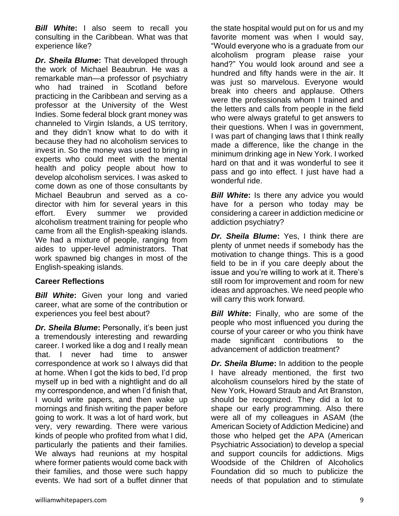*Bill White***:** I also seem to recall you consulting in the Caribbean. What was that experience like?

*Dr. Sheila Blume***:** That developed through the work of Michael Beaubrun. He was a remarkable man—a professor of psychiatry who had trained in Scotland before practicing in the Caribbean and serving as a professor at the University of the West Indies. Some federal block grant money was channeled to Virgin Islands, a US territory, and they didn't know what to do with it because they had no alcoholism services to invest in. So the money was used to bring in experts who could meet with the mental health and policy people about how to develop alcoholism services. I was asked to come down as one of those consultants by Michael Beaubrun and served as a codirector with him for several years in this effort. Every summer we provided alcoholism treatment training for people who came from all the English-speaking islands. We had a mixture of people, ranging from aides to upper-level administrators. That work spawned big changes in most of the English-speaking islands.

#### **Career Reflections**

**Bill White:** Given your long and varied career, what are some of the contribution or experiences you feel best about?

*Dr. Sheila Blume***:** Personally, it's been just a tremendously interesting and rewarding career. I worked like a dog and I really mean that. I never had time to answer correspondence at work so I always did that at home. When I got the kids to bed, I'd prop myself up in bed with a nightlight and do all my correspondence, and when I'd finish that, I would write papers, and then wake up mornings and finish writing the paper before going to work. It was a lot of hard work, but very, very rewarding. There were various kinds of people who profited from what I did, particularly the patients and their families. We always had reunions at my hospital where former patients would come back with their families, and those were such happy events. We had sort of a buffet dinner that

the state hospital would put on for us and my favorite moment was when I would say, "Would everyone who is a graduate from our alcoholism program please raise your hand?" You would look around and see a hundred and fifty hands were in the air. It was just so marvelous. Everyone would break into cheers and applause. Others were the professionals whom I trained and the letters and calls from people in the field who were always grateful to get answers to their questions. When I was in government, I was part of changing laws that I think really made a difference, like the change in the minimum drinking age in New York. I worked hard on that and it was wonderful to see it pass and go into effect. I just have had a wonderful ride.

**Bill White:** Is there any advice you would have for a person who today may be considering a career in addiction medicine or addiction psychiatry?

*Dr. Sheila Blume***:** Yes, I think there are plenty of unmet needs if somebody has the motivation to change things. This is a good field to be in if you care deeply about the issue and you're willing to work at it. There's still room for improvement and room for new ideas and approaches. We need people who will carry this work forward.

*Bill White***:** Finally, who are some of the people who most influenced you during the course of your career or who you think have made significant contributions to the advancement of addiction treatment?

*Dr. Sheila Blume***:** In addition to the people I have already mentioned, the first two alcoholism counselors hired by the state of New York, Howard Straub and Art Branston, should be recognized. They did a lot to shape our early programming. Also there were all of my colleagues in ASAM (the American Society of Addiction Medicine) and those who helped get the APA (American Psychiatric Association) to develop a special and support councils for addictions. Migs Woodside of the Children of Alcoholics Foundation did so much to publicize the needs of that population and to stimulate